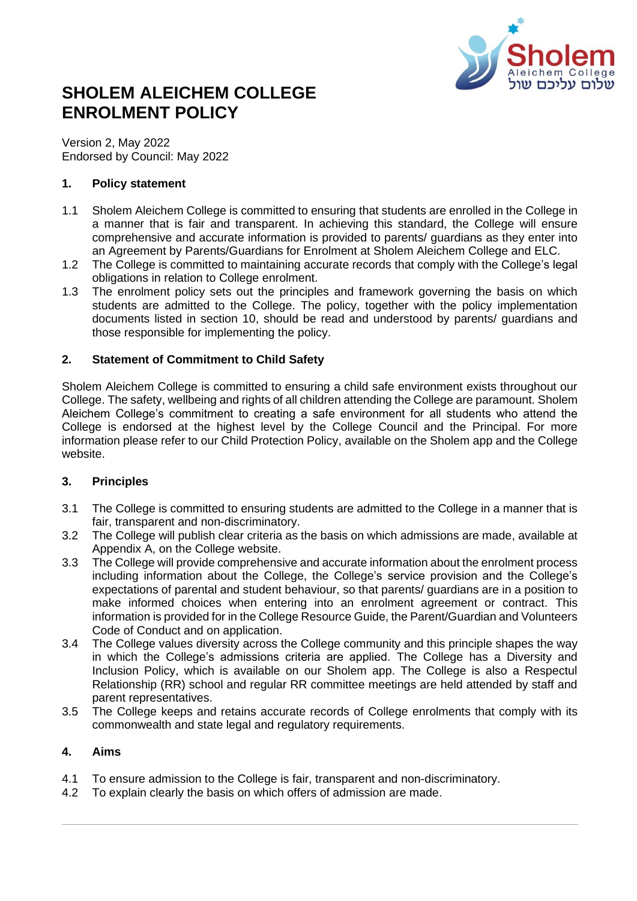

# **SHOLEM ALEICHEM COLLEGE ENROLMENT POLICY**

Version 2, May 2022 Endorsed by Council: May 2022

## **1. Policy statement**

- 1.1 Sholem Aleichem College is committed to ensuring that students are enrolled in the College in a manner that is fair and transparent. In achieving this standard, the College will ensure comprehensive and accurate information is provided to parents/ guardians as they enter into an Agreement by Parents/Guardians for Enrolment at Sholem Aleichem College and ELC.
- 1.2 The College is committed to maintaining accurate records that comply with the College's legal obligations in relation to College enrolment.
- 1.3 The enrolment policy sets out the principles and framework governing the basis on which students are admitted to the College. The policy, together with the policy implementation documents listed in section 10, should be read and understood by parents/ guardians and those responsible for implementing the policy.

# **2. Statement of Commitment to Child Safety**

Sholem Aleichem College is committed to ensuring a child safe environment exists throughout our College. The safety, wellbeing and rights of all children attending the College are paramount. Sholem Aleichem College's commitment to creating a safe environment for all students who attend the College is endorsed at the highest level by the College Council and the Principal. For more information please refer to our Child Protection Policy, available on the Sholem app and the College website.

# **3. Principles**

- 3.1 The College is committed to ensuring students are admitted to the College in a manner that is fair, transparent and non-discriminatory.
- 3.2 The College will publish clear criteria as the basis on which admissions are made, available at Appendix A, on the College website.
- 3.3 The College will provide comprehensive and accurate information about the enrolment process including information about the College, the College's service provision and the College's expectations of parental and student behaviour, so that parents/ guardians are in a position to make informed choices when entering into an enrolment agreement or contract. This information is provided for in the College Resource Guide, the Parent/Guardian and Volunteers Code of Conduct and on application.
- 3.4 The College values diversity across the College community and this principle shapes the way in which the College's admissions criteria are applied. The College has a Diversity and Inclusion Policy, which is available on our Sholem app. The College is also a Respectul Relationship (RR) school and regular RR committee meetings are held attended by staff and parent representatives.
- 3.5 The College keeps and retains accurate records of College enrolments that comply with its commonwealth and state legal and regulatory requirements.

## **4. Aims**

- 4.1 To ensure admission to the College is fair, transparent and non-discriminatory.
- 4.2 To explain clearly the basis on which offers of admission are made.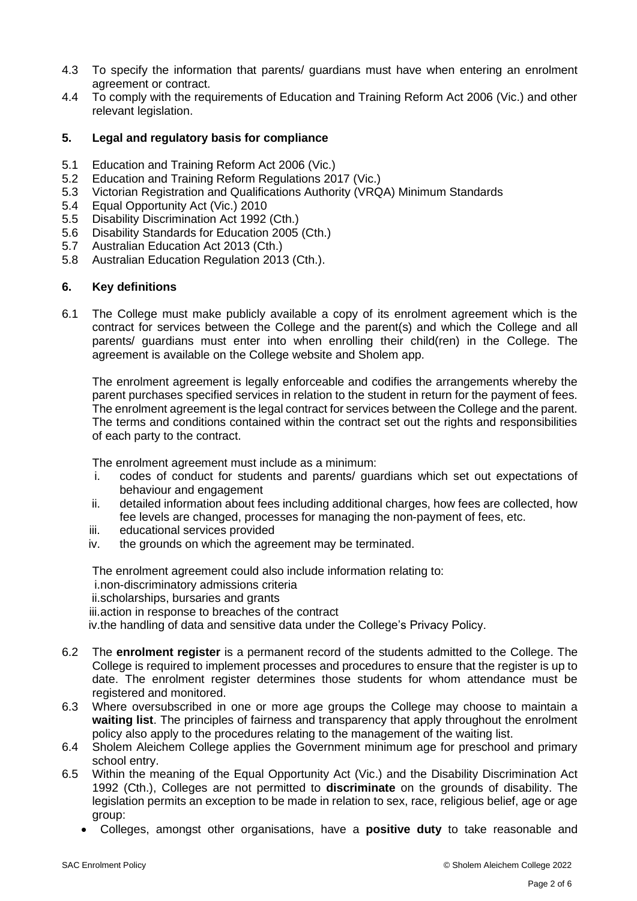- 4.3 To specify the information that parents/ guardians must have when entering an enrolment agreement or contract.
- 4.4 To comply with the requirements of Education and Training Reform Act 2006 (Vic.) and other relevant legislation.

#### **5. Legal and regulatory basis for compliance**

- 5.1 Education and Training Reform Act 2006 (Vic.)
- 5.2 Education and Training Reform Regulations 2017 (Vic.)
- 5.3 Victorian Registration and Qualifications Authority (VRQA) Minimum Standards
- 5.4 Equal Opportunity Act (Vic.) 2010
- 5.5 Disability Discrimination Act 1992 (Cth.)
- 5.6 Disability Standards for Education 2005 (Cth.)
- 5.7 Australian Education Act 2013 (Cth.)
- 5.8 Australian Education Regulation 2013 (Cth.).

#### **6. Key definitions**

6.1 The College must make publicly available a copy of its enrolment agreement which is the contract for services between the College and the parent(s) and which the College and all parents/ guardians must enter into when enrolling their child(ren) in the College. The agreement is available on the College website and Sholem app.

The enrolment agreement is legally enforceable and codifies the arrangements whereby the parent purchases specified services in relation to the student in return for the payment of fees. The enrolment agreement is the legal contract for services between the College and the parent. The terms and conditions contained within the contract set out the rights and responsibilities of each party to the contract.

The enrolment agreement must include as a minimum:

- i. codes of conduct for students and parents/ guardians which set out expectations of behaviour and engagement
- ii. detailed information about fees including additional charges, how fees are collected, how fee levels are changed, processes for managing the non-payment of fees, etc.
- iii. educational services provided
- iv. the grounds on which the agreement may be terminated.

The enrolment agreement could also include information relating to:

i.non-discriminatory admissions criteria

ii.scholarships, bursaries and grants

iii.action in response to breaches of the contract

iv.the handling of data and sensitive data under the College's Privacy Policy.

- 6.2 The **enrolment register** is a permanent record of the students admitted to the College. The College is required to implement processes and procedures to ensure that the register is up to date. The enrolment register determines those students for whom attendance must be registered and monitored.
- 6.3 Where oversubscribed in one or more age groups the College may choose to maintain a **waiting list**. The principles of fairness and transparency that apply throughout the enrolment policy also apply to the procedures relating to the management of the waiting list.
- 6.4 Sholem Aleichem College applies the Government minimum age for preschool and primary school entry.
- 6.5 Within the meaning of the Equal Opportunity Act (Vic.) and the Disability Discrimination Act 1992 (Cth.), Colleges are not permitted to **discriminate** on the grounds of disability. The legislation permits an exception to be made in relation to sex, race, religious belief, age or age group:
	- Colleges, amongst other organisations, have a **positive duty** to take reasonable and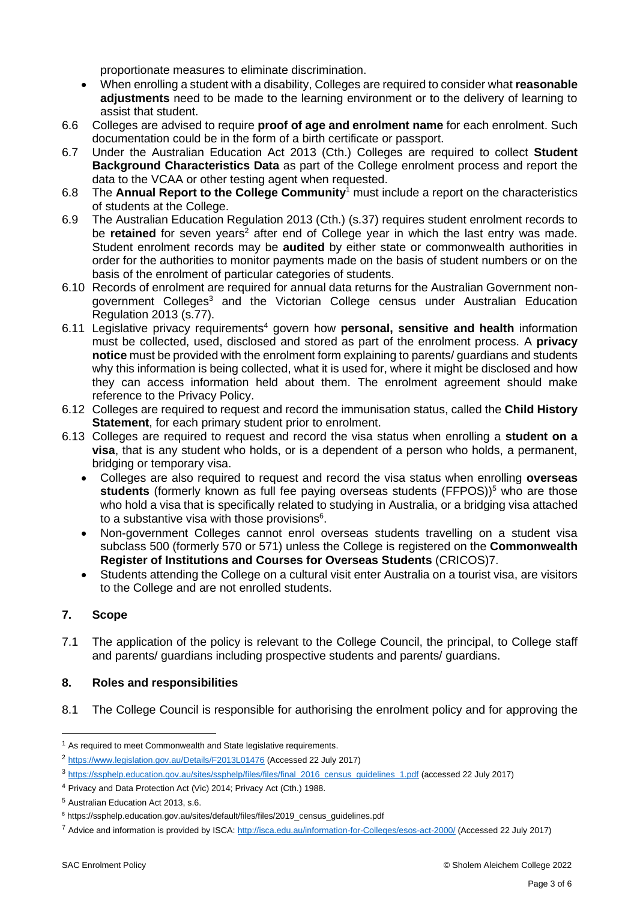proportionate measures to eliminate discrimination.

- When enrolling a student with a disability, Colleges are required to consider what **reasonable adjustments** need to be made to the learning environment or to the delivery of learning to assist that student.
- 6.6 Colleges are advised to require **proof of age and enrolment name** for each enrolment. Such documentation could be in the form of a birth certificate or passport.
- 6.7 Under the Australian Education Act 2013 (Cth.) Colleges are required to collect **Student Background Characteristics Data** as part of the College enrolment process and report the data to the VCAA or other testing agent when requested.
- 6.8 The **Annual Report to the College Community**<sup>1</sup> must include a report on the characteristics of students at the College.
- 6.9 The Australian Education Regulation 2013 (Cth.) (s.37) requires student enrolment records to be **retained** for seven years<sup>2</sup> after end of College year in which the last entry was made. Student enrolment records may be **audited** by either state or commonwealth authorities in order for the authorities to monitor payments made on the basis of student numbers or on the basis of the enrolment of particular categories of students.
- 6.10 Records of enrolment are required for annual data returns for the Australian Government nongovernment Colleges <sup>3</sup> and the Victorian College census under Australian Education Regulation 2013 (s.77).
- 6.11 Legislative privacy requirements<sup>4</sup> govern how **personal, sensitive and health** information must be collected, used, disclosed and stored as part of the enrolment process. A **privacy notice** must be provided with the enrolment form explaining to parents/ guardians and students why this information is being collected, what it is used for, where it might be disclosed and how they can access information held about them. The enrolment agreement should make reference to the Privacy Policy.
- 6.12 Colleges are required to request and record the immunisation status, called the **Child History Statement**, for each primary student prior to enrolment.
- 6.13 Colleges are required to request and record the visa status when enrolling a **student on a visa**, that is any student who holds, or is a dependent of a person who holds, a permanent, bridging or temporary visa.
	- Colleges are also required to request and record the visa status when enrolling **overseas students** (formerly known as full fee paying overseas students (FFPOS))<sup>5</sup> who are those who hold a visa that is specifically related to studying in Australia, or a bridging visa attached to a substantive visa with those provisions $6$ .
	- Non-government Colleges cannot enrol overseas students travelling on a student visa subclass 500 (formerly 570 or 571) unless the College is registered on the **Commonwealth Register of Institutions and Courses for Overseas Students** (CRICOS)7.
	- Students attending the College on a cultural visit enter Australia on a tourist visa, are visitors to the College and are not enrolled students.

# **7. Scope**

7.1 The application of the policy is relevant to the College Council, the principal, to College staff and parents/ guardians including prospective students and parents/ guardians.

# **8. Roles and responsibilities**

8.1 The College Council is responsible for authorising the enrolment policy and for approving the

 $1$  As required to meet Commonwealth and State legislative requirements.

<sup>2</sup> <https://www.legislation.gov.au/Details/F2013L01476> (Accessed 22 July 2017)

<sup>3</sup> [https://ssphelp.education.gov.au/sites/ssphelp/files/files/final\\_2016\\_census\\_guidelines\\_1.pdf](https://ssphelp.education.gov.au/sites/ssphelp/files/files/final_2016_census_guidelines_1.pdf) (accessed 22 July 2017)

<sup>4</sup> Privacy and Data Protection Act (Vic) 2014; Privacy Act (Cth.) 1988.

<sup>5</sup> Australian Education Act 2013, s.6.

<sup>6</sup> [https://ssphelp.education.gov.au/sites/default/files/files/2019\\_census\\_guidelines.pdf](https://ssphelp.education.gov.au/sites/default/files/files/2019_census_guidelines.pdf)

<sup>7</sup> Advice and information is provided by ISCA: [http://isca.edu.au/information-for-Colleges/esos-act-2000/](http://isca.edu.au/information-for-schools/esos-act-2000/) (Accessed 22 July 2017)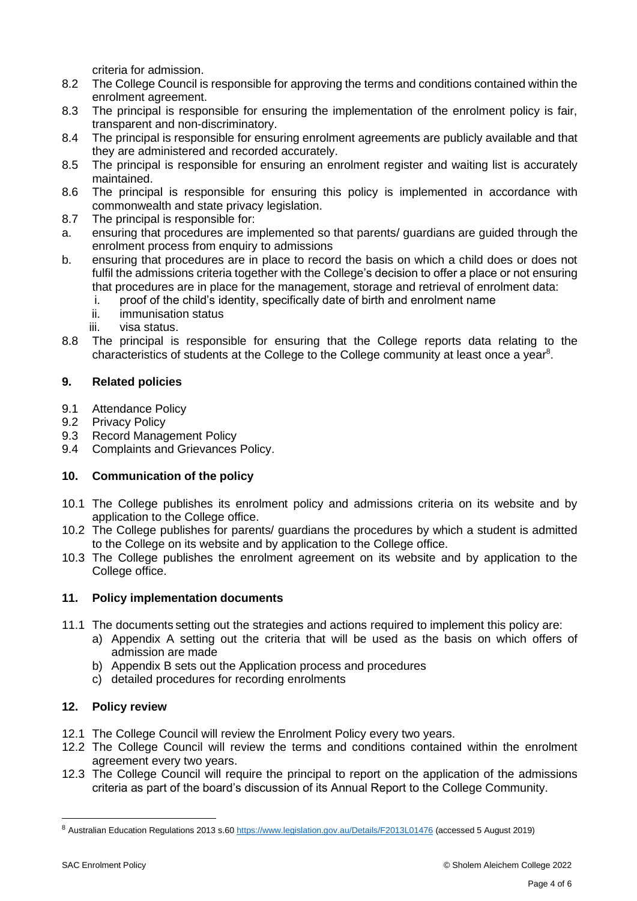criteria for admission.

- 8.2 The College Council is responsible for approving the terms and conditions contained within the enrolment agreement.
- 8.3 The principal is responsible for ensuring the implementation of the enrolment policy is fair, transparent and non-discriminatory.
- 8.4 The principal is responsible for ensuring enrolment agreements are publicly available and that they are administered and recorded accurately.
- 8.5 The principal is responsible for ensuring an enrolment register and waiting list is accurately maintained.
- 8.6 The principal is responsible for ensuring this policy is implemented in accordance with commonwealth and state privacy legislation.
- 8.7 The principal is responsible for:
- a. ensuring that procedures are implemented so that parents/ guardians are guided through the enrolment process from enquiry to admissions
- b. ensuring that procedures are in place to record the basis on which a child does or does not fulfil the admissions criteria together with the College's decision to offer a place or not ensuring that procedures are in place for the management, storage and retrieval of enrolment data:
	- i. proof of the child's identity, specifically date of birth and enrolment name
	- ii. immunisation status
	- iii. visa status.
- 8.8 The principal is responsible for ensuring that the College reports data relating to the characteristics of students at the College to the College community at least once a year<sup>8</sup>.

## **9. Related policies**

- 9.1 Attendance Policy
- 9.2 Privacy Policy
- 9.3 Record Management Policy
- 9.4 Complaints and Grievances Policy.

# **10. Communication of the policy**

- 10.1 The College publishes its enrolment policy and admissions criteria on its website and by application to the College office.
- 10.2 The College publishes for parents/ guardians the procedures by which a student is admitted to the College on its website and by application to the College office.
- 10.3 The College publishes the enrolment agreement on its website and by application to the College office.

## **11. Policy implementation documents**

- 11.1 The documents setting out the strategies and actions required to implement this policy are:
	- a) Appendix A setting out the criteria that will be used as the basis on which offers of admission are made
	- b) Appendix B sets out the Application process and procedures
	- c) detailed procedures for recording enrolments

## **12. Policy review**

- 12.1 The College Council will review the Enrolment Policy every two years.
- 12.2 The College Council will review the terms and conditions contained within the enrolment agreement every two years.
- 12.3 The College Council will require the principal to report on the application of the admissions criteria as part of the board's discussion of its Annual Report to the College Community.

<sup>8</sup> Australian Education Regulations 2013 s.6[0 https://www.legislation.gov.au/Details/F2013L01476](https://www.legislation.gov.au/Details/F2013L01476) (accessed 5 August 2019)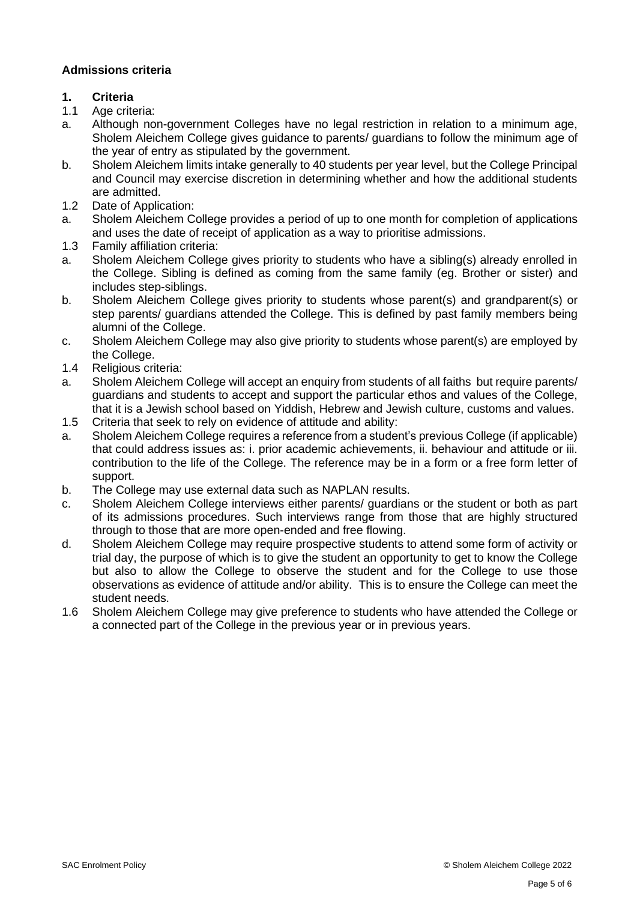## **Admissions criteria**

# **1. Criteria**

- 1.1 Age criteria:
- a. Although non-government Colleges have no legal restriction in relation to a minimum age, Sholem Aleichem College gives guidance to parents/ guardians to follow the minimum age of the year of entry as stipulated by the government.
- b. Sholem Aleichem limits intake generally to 40 students per year level, but the College Principal and Council may exercise discretion in determining whether and how the additional students are admitted.
- 1.2 Date of Application:
- a. Sholem Aleichem College provides a period of up to one month for completion of applications and uses the date of receipt of application as a way to prioritise admissions.
- 1.3 Family affiliation criteria:
- a. Sholem Aleichem College gives priority to students who have a sibling(s) already enrolled in the College. Sibling is defined as coming from the same family (eg. Brother or sister) and includes step-siblings.
- b. Sholem Aleichem College gives priority to students whose parent(s) and grandparent(s) or step parents/ guardians attended the College. This is defined by past family members being alumni of the College.
- c. Sholem Aleichem College may also give priority to students whose parent(s) are employed by the College.
- 1.4 Religious criteria:
- a. Sholem Aleichem College will accept an enquiry from students of all faiths but require parents/ guardians and students to accept and support the particular ethos and values of the College, that it is a Jewish school based on Yiddish, Hebrew and Jewish culture, customs and values.
- 1.5 Criteria that seek to rely on evidence of attitude and ability:
- a. Sholem Aleichem College requires a reference from a student's previous College (if applicable) that could address issues as: i. prior academic achievements, ii. behaviour and attitude or iii. contribution to the life of the College. The reference may be in a form or a free form letter of support.
- b. The College may use external data such as NAPLAN results.
- c. Sholem Aleichem College interviews either parents/ guardians or the student or both as part of its admissions procedures. Such interviews range from those that are highly structured through to those that are more open-ended and free flowing.
- d. Sholem Aleichem College may require prospective students to attend some form of activity or trial day, the purpose of which is to give the student an opportunity to get to know the College but also to allow the College to observe the student and for the College to use those observations as evidence of attitude and/or ability. This is to ensure the College can meet the student needs.
- 1.6 Sholem Aleichem College may give preference to students who have attended the College or a connected part of the College in the previous year or in previous years.